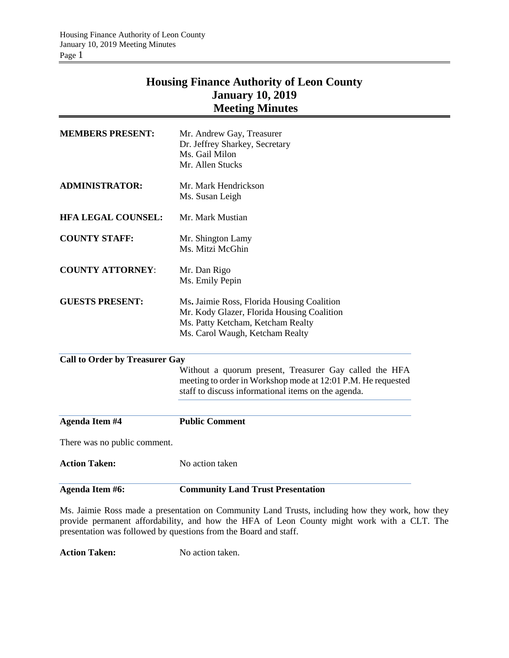# **Housing Finance Authority of Leon County January 10, 2019 Meeting Minutes**

| Agenda Item #6:                       | <b>Community Land Trust Presentation</b>                                                                               |
|---------------------------------------|------------------------------------------------------------------------------------------------------------------------|
| <b>Action Taken:</b>                  | No action taken                                                                                                        |
| There was no public comment.          |                                                                                                                        |
| Agenda Item #4                        | <b>Public Comment</b>                                                                                                  |
|                                       |                                                                                                                        |
|                                       | staff to discuss informational items on the agenda.                                                                    |
|                                       | Without a quorum present, Treasurer Gay called the HFA<br>meeting to order in Workshop mode at 12:01 P.M. He requested |
| <b>Call to Order by Treasurer Gay</b> |                                                                                                                        |
|                                       |                                                                                                                        |
|                                       | Ms. Carol Waugh, Ketcham Realty                                                                                        |
|                                       | Mr. Kody Glazer, Florida Housing Coalition<br>Ms. Patty Ketcham, Ketcham Realty                                        |
| <b>GUESTS PRESENT:</b>                | Ms. Jaimie Ross, Florida Housing Coalition                                                                             |
|                                       | Ms. Emily Pepin                                                                                                        |
| <b>COUNTY ATTORNEY:</b>               | Mr. Dan Rigo                                                                                                           |
|                                       | Ms. Mitzi McGhin                                                                                                       |
| <b>COUNTY STAFF:</b>                  | Mr. Shington Lamy                                                                                                      |
|                                       |                                                                                                                        |
| <b>HFA LEGAL COUNSEL:</b>             | Mr. Mark Mustian                                                                                                       |
|                                       | Ms. Susan Leigh                                                                                                        |
| <b>ADMINISTRATOR:</b>                 | Mr. Mark Hendrickson                                                                                                   |
|                                       | Ms. Gail Milon<br>Mr. Allen Stucks                                                                                     |
|                                       | Dr. Jeffrey Sharkey, Secretary                                                                                         |
| <b>MEMBERS PRESENT:</b>               | Mr. Andrew Gay, Treasurer                                                                                              |

Ms. Jaimie Ross made a presentation on Community Land Trusts, including how they work, how they provide permanent affordability, and how the HFA of Leon County might work with a CLT. The presentation was followed by questions from the Board and staff.

Action Taken: No action taken.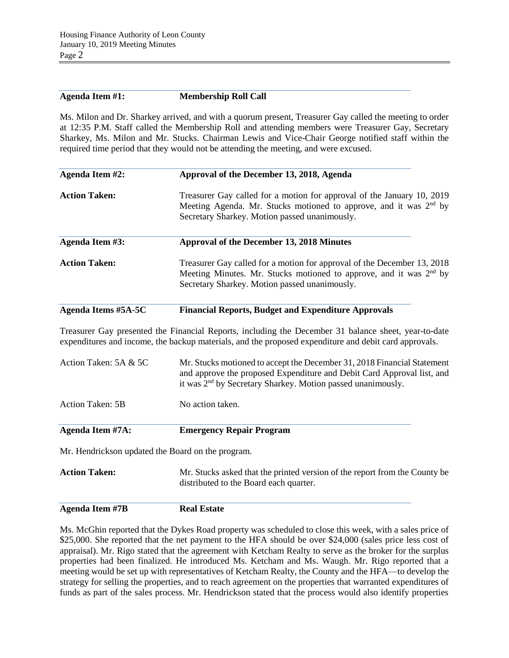## **Agenda Item #1: Membership Roll Call**

Ms. Milon and Dr. Sharkey arrived, and with a quorum present, Treasurer Gay called the meeting to order at 12:35 P.M. Staff called the Membership Roll and attending members were Treasurer Gay, Secretary Sharkey, Ms. Milon and Mr. Stucks. Chairman Lewis and Vice-Chair George notified staff within the required time period that they would not be attending the meeting, and were excused.

| Agenda Item #2:                                                                                                                                                                                                          | Approval of the December 13, 2018, Agenda                                                                                                                                                      |  |  |  |
|--------------------------------------------------------------------------------------------------------------------------------------------------------------------------------------------------------------------------|------------------------------------------------------------------------------------------------------------------------------------------------------------------------------------------------|--|--|--|
| <b>Action Taken:</b>                                                                                                                                                                                                     | Treasurer Gay called for a motion for approval of the January 10, 2019<br>Meeting Agenda. Mr. Stucks motioned to approve, and it was $2nd$ by<br>Secretary Sharkey. Motion passed unanimously. |  |  |  |
| Agenda Item #3:                                                                                                                                                                                                          | Approval of the December 13, 2018 Minutes                                                                                                                                                      |  |  |  |
| <b>Action Taken:</b><br>Treasurer Gay called for a motion for approval of the December 13, 2018<br>Meeting Minutes. Mr. Stucks motioned to approve, and it was $2nd$ by<br>Secretary Sharkey. Motion passed unanimously. |                                                                                                                                                                                                |  |  |  |
| Agenda Items #5A-5C                                                                                                                                                                                                      | <b>Financial Reports, Budget and Expenditure Approvals</b>                                                                                                                                     |  |  |  |

Treasurer Gay presented the Financial Reports, including the December 31 balance sheet, year-to-date expenditures and income, the backup materials, and the proposed expenditure and debit card approvals.

| Agenda Item #7A:        | <b>Emergency Repair Program</b>                                                                                                                                                                                              |  |
|-------------------------|------------------------------------------------------------------------------------------------------------------------------------------------------------------------------------------------------------------------------|--|
| Action Taken: 5B        | No action taken.                                                                                                                                                                                                             |  |
| Action Taken: $5A & 5C$ | Mr. Stucks motioned to accept the December 31, 2018 Financial Statement<br>and approve the proposed Expenditure and Debit Card Approval list, and<br>it was 2 <sup>nd</sup> by Secretary Sharkey. Motion passed unanimously. |  |

Mr. Hendrickson updated the Board on the program.

**Action Taken:** Mr. Stucks asked that the printed version of the report from the County be distributed to the Board each quarter.

**Agenda Item #7B Real Estate** 

Ms. McGhin reported that the Dykes Road property was scheduled to close this week, with a sales price of \$25,000. She reported that the net payment to the HFA should be over \$24,000 (sales price less cost of appraisal). Mr. Rigo stated that the agreement with Ketcham Realty to serve as the broker for the surplus properties had been finalized. He introduced Ms. Ketcham and Ms. Waugh. Mr. Rigo reported that a meeting would be set up with representatives of Ketcham Realty, the County and the HFA—to develop the strategy for selling the properties, and to reach agreement on the properties that warranted expenditures of funds as part of the sales process. Mr. Hendrickson stated that the process would also identify properties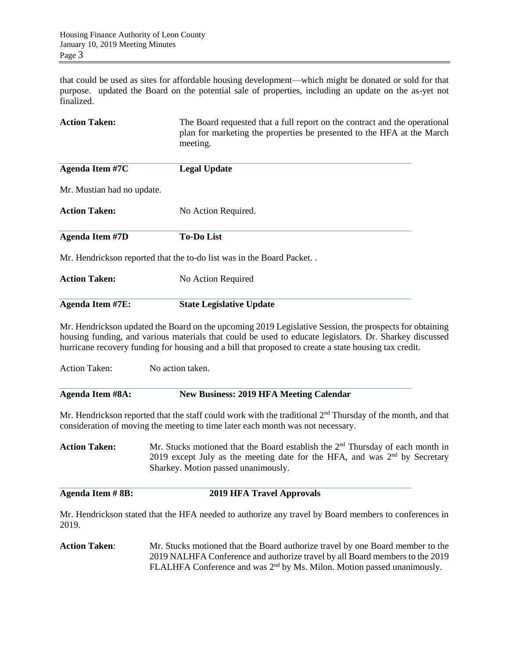that could be used as sites for affordable housing development—which might be donated or sold for that purpose. updated the Board on the potential sale of properties, including an update on the as-yet not finalized.

| <b>Action Taken:</b>       | The Board requested that a full report on the contract and the operational<br>plan for marketing the properties be presented to the HFA at the March<br>meeting.                                                                                                                                                            |  |  |  |  |
|----------------------------|-----------------------------------------------------------------------------------------------------------------------------------------------------------------------------------------------------------------------------------------------------------------------------------------------------------------------------|--|--|--|--|
| Agenda Item #7C            | <b>Legal Update</b>                                                                                                                                                                                                                                                                                                         |  |  |  |  |
| Mr. Mustian had no update. |                                                                                                                                                                                                                                                                                                                             |  |  |  |  |
| <b>Action Taken:</b>       | No Action Required.                                                                                                                                                                                                                                                                                                         |  |  |  |  |
| <b>Agenda Item #7D</b>     | <b>To-Do List</b>                                                                                                                                                                                                                                                                                                           |  |  |  |  |
|                            | Mr. Hendrickson reported that the to-do list was in the Board Packet                                                                                                                                                                                                                                                        |  |  |  |  |
| <b>Action Taken:</b>       | No Action Required                                                                                                                                                                                                                                                                                                          |  |  |  |  |
| <b>Agenda Item #7E:</b>    | <b>State Legislative Update</b>                                                                                                                                                                                                                                                                                             |  |  |  |  |
|                            | Mr. Hendrickson updated the Board on the upcoming 2019 Legislative Session, the prospects for obtaining<br>housing funding, and various materials that could be used to educate legislators. Dr. Sharkey discussed<br>hurricane recovery funding for housing and a bill that proposed to create a state housing tax credit. |  |  |  |  |
| <b>Action Taken:</b>       | No action taken.                                                                                                                                                                                                                                                                                                            |  |  |  |  |
| <b>Agenda Item #8A:</b>    | <b>New Business: 2019 HFA Meeting Calendar</b>                                                                                                                                                                                                                                                                              |  |  |  |  |
|                            | Mr. Hendrickson reported that the staff could work with the traditional 2 <sup>nd</sup> Thursday of the month, and that<br>consideration of moving the meeting to time later each month was not necessary.                                                                                                                  |  |  |  |  |
| <b>Action Taken:</b>       | Mr. Stucks motioned that the Board establish the 2 <sup>nd</sup> Thursday of each month in<br>2019 except July as the meeting date for the HFA, and was $2nd$ by Secretary<br>Sharkey. Motion passed unanimously.                                                                                                           |  |  |  |  |
| <b>Agenda Item #8B:</b>    | <b>2019 HFA Travel Approvals</b>                                                                                                                                                                                                                                                                                            |  |  |  |  |
| 2019.                      | Mr. Hendrickson stated that the HFA needed to authorize any travel by Board members to conferences in                                                                                                                                                                                                                       |  |  |  |  |

**Action Taken**: Mr. Stucks motioned that the Board authorize travel by one Board member to the 2019 NALHFA Conference and authorize travel by all Board members to the 2019 FLALHFA Conference and was 2<sup>nd</sup> by Ms. Milon. Motion passed unanimously.